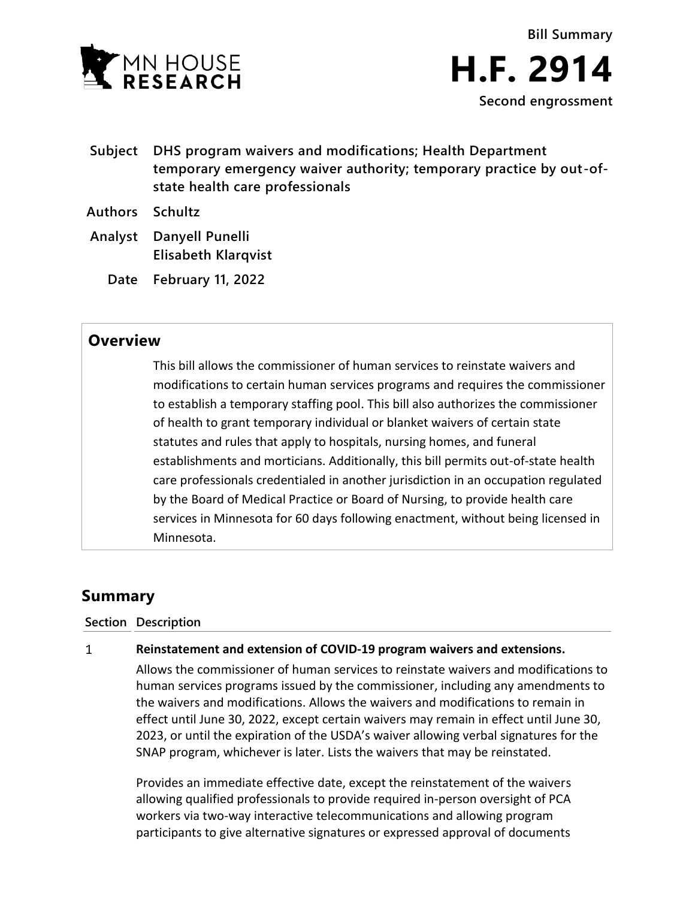

- **Bill Summary H.F. 2914 Second engrossment**
- **Subject DHS program waivers and modifications; Health Department temporary emergency waiver authority; temporary practice by out-ofstate health care professionals**
- **Authors Schultz**
- **Analyst Danyell Punelli Elisabeth Klarqvist**
	- **Date February 11, 2022**

## **Overview**

This bill allows the commissioner of human services to reinstate waivers and modifications to certain human services programs and requires the commissioner to establish a temporary staffing pool. This bill also authorizes the commissioner of health to grant temporary individual or blanket waivers of certain state statutes and rules that apply to hospitals, nursing homes, and funeral establishments and morticians. Additionally, this bill permits out-of-state health care professionals credentialed in another jurisdiction in an occupation regulated by the Board of Medical Practice or Board of Nursing, to provide health care services in Minnesota for 60 days following enactment, without being licensed in Minnesota.

# **Summary**

## **Section Description**

#### $\mathbf{1}$ **Reinstatement and extension of COVID-19 program waivers and extensions.**

Allows the commissioner of human services to reinstate waivers and modifications to human services programs issued by the commissioner, including any amendments to the waivers and modifications. Allows the waivers and modifications to remain in effect until June 30, 2022, except certain waivers may remain in effect until June 30, 2023, or until the expiration of the USDA's waiver allowing verbal signatures for the SNAP program, whichever is later. Lists the waivers that may be reinstated.

Provides an immediate effective date, except the reinstatement of the waivers allowing qualified professionals to provide required in-person oversight of PCA workers via two-way interactive telecommunications and allowing program participants to give alternative signatures or expressed approval of documents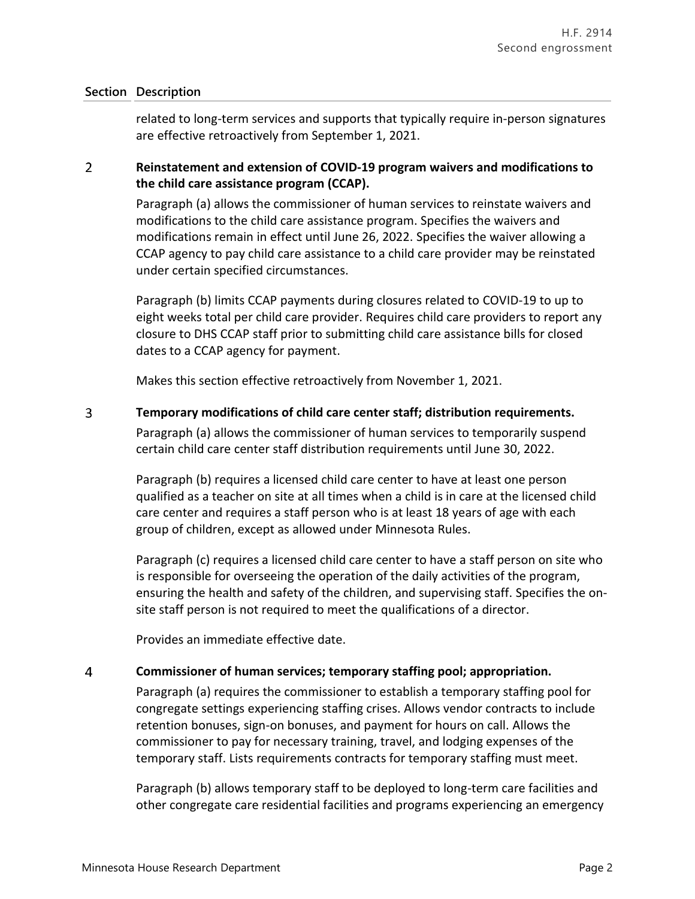related to long-term services and supports that typically require in-person signatures are effective retroactively from September 1, 2021.

### $\overline{2}$ **Reinstatement and extension of COVID-19 program waivers and modifications to the child care assistance program (CCAP).**

Paragraph (a) allows the commissioner of human services to reinstate waivers and modifications to the child care assistance program. Specifies the waivers and modifications remain in effect until June 26, 2022. Specifies the waiver allowing a CCAP agency to pay child care assistance to a child care provider may be reinstated under certain specified circumstances.

Paragraph (b) limits CCAP payments during closures related to COVID-19 to up to eight weeks total per child care provider. Requires child care providers to report any closure to DHS CCAP staff prior to submitting child care assistance bills for closed dates to a CCAP agency for payment.

Makes this section effective retroactively from November 1, 2021.

 $\overline{3}$ **Temporary modifications of child care center staff; distribution requirements.**

> Paragraph (a) allows the commissioner of human services to temporarily suspend certain child care center staff distribution requirements until June 30, 2022.

Paragraph (b) requires a licensed child care center to have at least one person qualified as a teacher on site at all times when a child is in care at the licensed child care center and requires a staff person who is at least 18 years of age with each group of children, except as allowed under Minnesota Rules.

Paragraph (c) requires a licensed child care center to have a staff person on site who is responsible for overseeing the operation of the daily activities of the program, ensuring the health and safety of the children, and supervising staff. Specifies the onsite staff person is not required to meet the qualifications of a director.

Provides an immediate effective date.

#### $\overline{4}$ **Commissioner of human services; temporary staffing pool; appropriation.**

Paragraph (a) requires the commissioner to establish a temporary staffing pool for congregate settings experiencing staffing crises. Allows vendor contracts to include retention bonuses, sign-on bonuses, and payment for hours on call. Allows the commissioner to pay for necessary training, travel, and lodging expenses of the temporary staff. Lists requirements contracts for temporary staffing must meet.

Paragraph (b) allows temporary staff to be deployed to long-term care facilities and other congregate care residential facilities and programs experiencing an emergency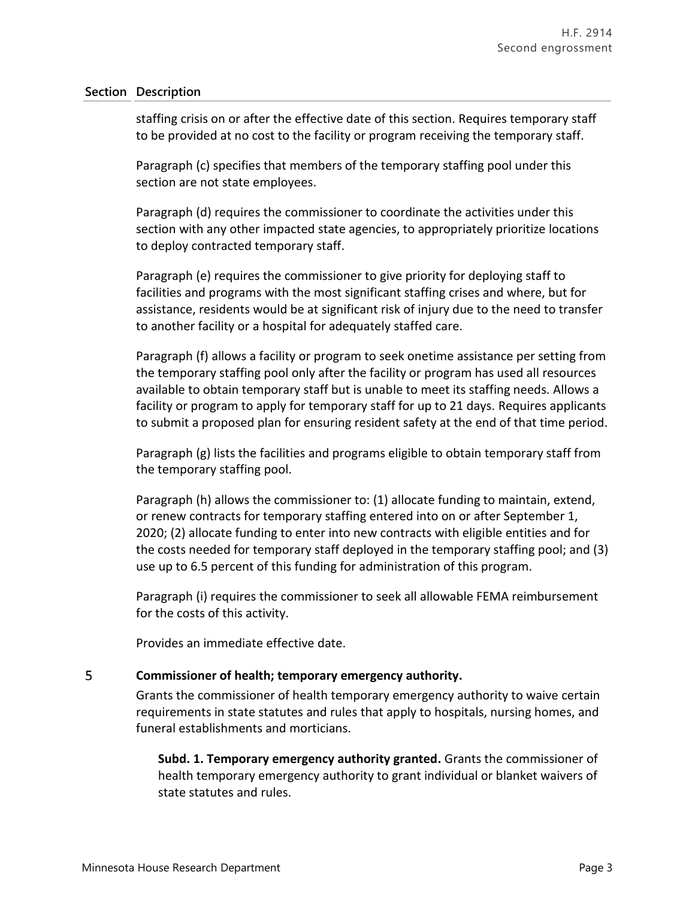staffing crisis on or after the effective date of this section. Requires temporary staff to be provided at no cost to the facility or program receiving the temporary staff.

Paragraph (c) specifies that members of the temporary staffing pool under this section are not state employees.

Paragraph (d) requires the commissioner to coordinate the activities under this section with any other impacted state agencies, to appropriately prioritize locations to deploy contracted temporary staff.

Paragraph (e) requires the commissioner to give priority for deploying staff to facilities and programs with the most significant staffing crises and where, but for assistance, residents would be at significant risk of injury due to the need to transfer to another facility or a hospital for adequately staffed care.

Paragraph (f) allows a facility or program to seek onetime assistance per setting from the temporary staffing pool only after the facility or program has used all resources available to obtain temporary staff but is unable to meet its staffing needs. Allows a facility or program to apply for temporary staff for up to 21 days. Requires applicants to submit a proposed plan for ensuring resident safety at the end of that time period.

Paragraph (g) lists the facilities and programs eligible to obtain temporary staff from the temporary staffing pool.

Paragraph (h) allows the commissioner to: (1) allocate funding to maintain, extend, or renew contracts for temporary staffing entered into on or after September 1, 2020; (2) allocate funding to enter into new contracts with eligible entities and for the costs needed for temporary staff deployed in the temporary staffing pool; and (3) use up to 6.5 percent of this funding for administration of this program.

Paragraph (i) requires the commissioner to seek all allowable FEMA reimbursement for the costs of this activity.

Provides an immediate effective date.

#### 5 **Commissioner of health; temporary emergency authority.**

Grants the commissioner of health temporary emergency authority to waive certain requirements in state statutes and rules that apply to hospitals, nursing homes, and funeral establishments and morticians.

**Subd. 1. Temporary emergency authority granted.** Grants the commissioner of health temporary emergency authority to grant individual or blanket waivers of state statutes and rules.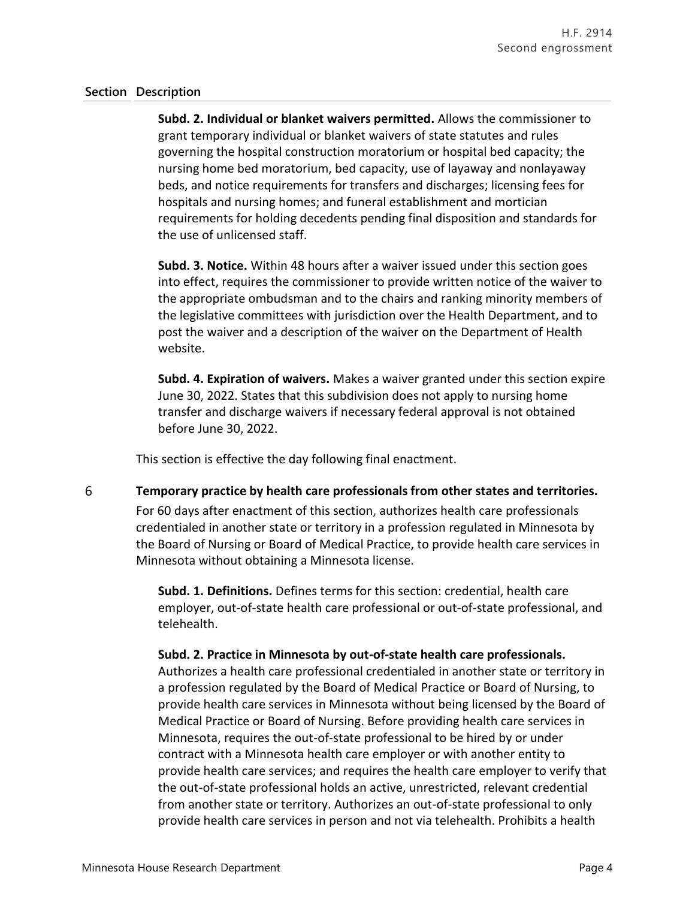**Subd. 2. Individual or blanket waivers permitted.** Allows the commissioner to grant temporary individual or blanket waivers of state statutes and rules governing the hospital construction moratorium or hospital bed capacity; the nursing home bed moratorium, bed capacity, use of layaway and nonlayaway beds, and notice requirements for transfers and discharges; licensing fees for hospitals and nursing homes; and funeral establishment and mortician requirements for holding decedents pending final disposition and standards for the use of unlicensed staff.

**Subd. 3. Notice.** Within 48 hours after a waiver issued under this section goes into effect, requires the commissioner to provide written notice of the waiver to the appropriate ombudsman and to the chairs and ranking minority members of the legislative committees with jurisdiction over the Health Department, and to post the waiver and a description of the waiver on the Department of Health website.

**Subd. 4. Expiration of waivers.** Makes a waiver granted under this section expire June 30, 2022. States that this subdivision does not apply to nursing home transfer and discharge waivers if necessary federal approval is not obtained before June 30, 2022.

This section is effective the day following final enactment.

6 **Temporary practice by health care professionals from other states and territories.**

> For 60 days after enactment of this section, authorizes health care professionals credentialed in another state or territory in a profession regulated in Minnesota by the Board of Nursing or Board of Medical Practice, to provide health care services in Minnesota without obtaining a Minnesota license.

**Subd. 1. Definitions.** Defines terms for this section: credential, health care employer, out-of-state health care professional or out-of-state professional, and telehealth.

**Subd. 2. Practice in Minnesota by out-of-state health care professionals.**

Authorizes a health care professional credentialed in another state or territory in a profession regulated by the Board of Medical Practice or Board of Nursing, to provide health care services in Minnesota without being licensed by the Board of Medical Practice or Board of Nursing. Before providing health care services in Minnesota, requires the out-of-state professional to be hired by or under contract with a Minnesota health care employer or with another entity to provide health care services; and requires the health care employer to verify that the out-of-state professional holds an active, unrestricted, relevant credential from another state or territory. Authorizes an out-of-state professional to only provide health care services in person and not via telehealth. Prohibits a health